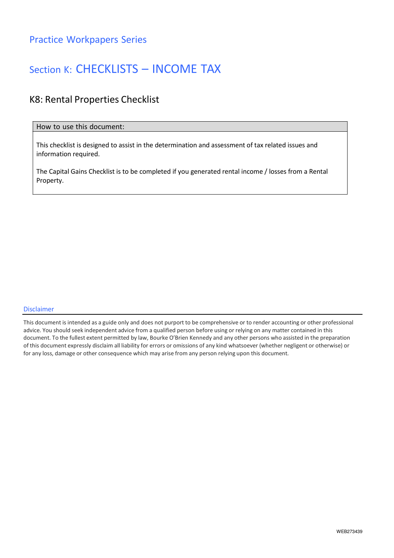### Section K: CHECKLISTS – INCOME TAX

### K8: Rental Properties Checklist

#### How to use this document:

This checklist is designed to assist in the determination and assessment of tax related issues and information required.

The Capital Gains Checklist is to be completed if you generated rental income / losses from a Rental Property.

#### Disclaimer

This document is intended as a guide only and does not purport to be comprehensive or to render accounting or other professional advice. You should seek independent advice from a qualified person before using or relying on any matter contained in this document. To the fullest extent permitted by law, Bourke O'Brien Kennedy and any other persons who assisted in the preparation of this document expressly disclaim all liability for errors or omissions of any kind whatsoever (whether negligent or otherwise) or for any loss, damage or other consequence which may arise from any person relying upon this document.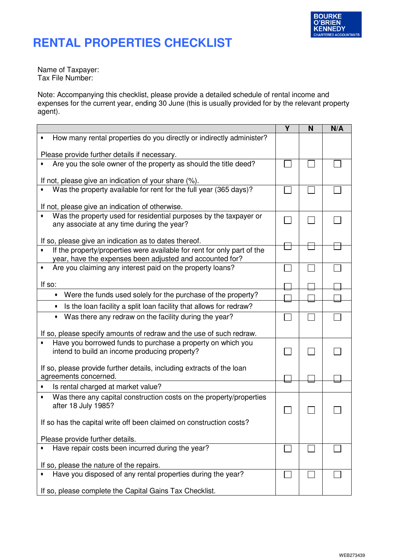

## **RENTAL PROPERTIES CHECKLIST**

Name of Taxpayer: Tax File Number:

Note: Accompanying this checklist, please provide a detailed schedule of rental income and expenses for the current year, ending 30 June (this is usually provided for by the relevant property agent).

|                                                                                  | Υ | N | N/A |
|----------------------------------------------------------------------------------|---|---|-----|
| How many rental properties do you directly or indirectly administer?             |   |   |     |
| Please provide further details if necessary.                                     |   |   |     |
| Are you the sole owner of the property as should the title deed?                 |   |   |     |
| If not, please give an indication of your share (%).                             |   |   |     |
| Was the property available for rent for the full year (365 days)?                |   |   |     |
| If not, please give an indication of otherwise.                                  |   |   |     |
| Was the property used for residential purposes by the taxpayer or                |   |   |     |
| any associate at any time during the year?                                       |   |   |     |
| If so, please give an indication as to dates thereof.                            |   |   |     |
| If the property/properties were available for rent for only part of the          |   |   |     |
| year, have the expenses been adjusted and accounted for?                         |   |   |     |
| Are you claiming any interest paid on the property loans?                        |   |   |     |
| If so:                                                                           |   |   |     |
| Were the funds used solely for the purchase of the property?                     |   |   |     |
| Is the loan facility a split loan facility that allows for redraw?               |   |   |     |
| Was there any redraw on the facility during the year?<br>$\bullet$               |   |   |     |
| If so, please specify amounts of redraw and the use of such redraw.              |   |   |     |
| Have you borrowed funds to purchase a property on which you                      |   |   |     |
| intend to build an income producing property?                                    |   |   |     |
| If so, please provide further details, including extracts of the loan            |   |   |     |
| agreements concerned.                                                            |   |   |     |
| Is rental charged at market value?                                               |   |   |     |
| Was there any capital construction costs on the property/properties<br>$\bullet$ |   |   |     |
| after 18 July 1985?                                                              |   |   |     |
| If so has the capital write off been claimed on construction costs?              |   |   |     |
|                                                                                  |   |   |     |
| Please provide further details.                                                  |   |   |     |
| Have repair costs been incurred during the year?                                 |   |   |     |
| If so, please the nature of the repairs.                                         |   |   |     |
| Have you disposed of any rental properties during the year?                      |   |   |     |
| If so, please complete the Capital Gains Tax Checklist.                          |   |   |     |